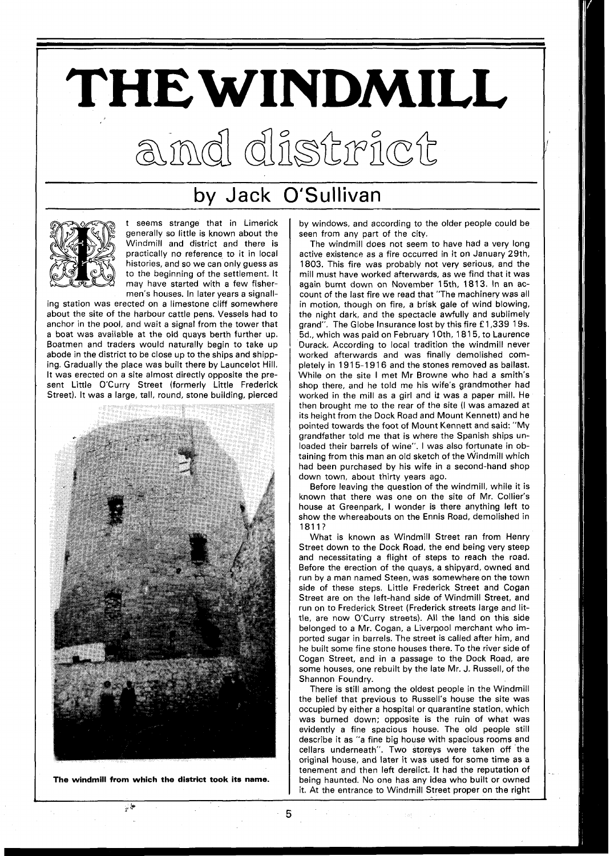## **THEWINDMILL**  aind district

## by Jack O'Sullivan



seems strange that in Limerick generally so little is known about the Windmill and district and there is practically no reference to it in local histories, and so we can only guess as to the beginning of the settlement. It may have started with a few fishermen's houses. In later years a signall-

ing station was erected on a limestone cliff somewhere about the site of the harbour cattle pens. Vessels had to anchor in the pool, and wait a signal from the tower that a boat was available at the old quays berth further up. Boatmen and traders would naturally begin to take up abode in the district to be close up to the ships and shipping. Gradually the place was built there by Launcelot Hill. It was erected on a site almost directly opposite the present Little O'Curry Street (formerly Little Frederick Street). It was a large, tall, round, stone building, pierced



**The windmill from which the district took its name.** 

 $\frac{1}{2}$ 

by windows, and according to the older people could be seen from any part of the city.

The windmill does not seem to have had a very long active existence as a fire occurred in it on January 29th, 1803. This fire was probably not very serious, and the mill must have worked afterwards, as we find that it was again burnt down on November 15th. 1813. In an account of the last fire we read that "The machinery was all in motion, though on fire, a brisk gale of wind blowing, the night dark, and the spectacle awfully and sublimely grand". The Globe Insurance lost by this fire **f** 1,339 19s. 5d., which was paid on February 1 Oth, 181 5, to Laurence Durack. According to local tradition the windmill never worked afterwards and was finally demolished completely in 1915-1916 and the stones removed as ballast. While on the site I met Mr Browne who had a smith's shop there, and he told me his wife's grandmother had worked in the mill as a girl and it was a paper mill. He then brought me to the rear of the site (I was amazed at its height from the Dock Road and Mount Kennett) and he pointed towards the foot of Mount Kennett and said: "My grandfather told me that is where the Spanish ships unloaded their barrels of wine". I was also fortunate in obtaining from this man an old sketch of the Windmill which had been purchased by his wife in a second-hand shop down town, about thirty years ago.

Before leaving the question of the windmill, while it is known that there was one on the site of Mr. Collier's house at Greenpark, I wonder is there anything left to show the whereabouts on the Ennis Road, demolished in 1811?

What is known as Windmill Street ran from Henry Street down to the Dock Road, the end being very steep and necessitating a flight of steps to reach the road. Before the erection of the quays, a shipyard, owned and run by a man named Steen, was somewhere on the town side of these steps. Little Frederick Street and Cogan Street are on the left-hand side of Windmill Street, and run on to Frederick Street (Frederick streets large and little, are now O'Curry streets). All the land on this side belonged to a Mr. Cogan, a Liverpool merchant who imported sugar in barrels. The street is called after him, and he built some fine stone houses there. To the river side of Cogan Street, and in a passage to the Dock Road, are some houses, one rebuilt by the late Mr. J. Russell, of the Shannon Foundry.

There is still among the oldest people in the Windmill the belief that previous to Russell's house the site was occupied by either a hospital or quarantine station, which was burned down; opposite is the ruin of what was evidently a fine spacious house. The old people still describe it as "a fine big house with spacious rooms and cellars underneath". Two storeys were taken off the original house, and later it was used for some time as a tenement and then left derelict. It had the reputation of being haunted. No one has any idea who built or owned it. At the entrance to Windmill Street proper on the right

5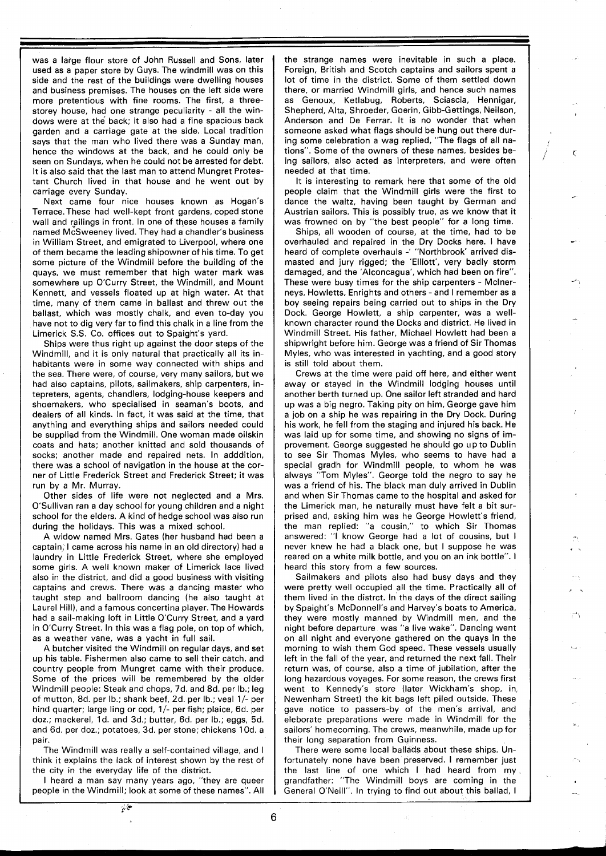was a large flour store of John Russell and Sons, later used as a paper store by Guys. The windmill was on this side and the rest of the buildings were dwelling houses and business premises. The houses on the left side were more pretentious with fine rooms. The first, a threestorey house, had one strange peculiarity - all the windows were at the back; it also had a fine spacious back garden and a carriage gate at the side. Local tradition says that the man who lived there was a Sunday man, hence the windows at the back, and he could only be seen on Sundays, when he could not be arrested for debt. It is also said that the last man to attend Mungret Protestant Church lived in that house and he went out by carriage every Sunday.

Next came four nice houses known as Hogan's Terrace. These had well-kept front gardens, coped stone wall and railings in front. In one of these houses a family named McSweeney lived. They had a chandler's business in William Street, and emigrated to Liverpool, where one of them became the leading shipowner of his time. To get some picture of the Windmill before the building of the quays, we must remember that high water mark was somewhere up O'Curry Street, the Windmill, and Mount Kennett, and vessels floated up at high water. At that time, many of them came in ballast and threw out the ballast, which was mostly chalk, and even to-day you have not to dig very far to find this chalk in a line from the Limerick S.S. Co. offices out to Spaight's yard.

Ships were thus right up against the door steps of the Windmill, and it is only natural that practically all its inhabitants were in some way connected with ships and the sea. There were, of course, very many sailors, but we had also captains, pilots, sailmakers, ship carpenters, intepreters, agents, chandlers, lodging-house keepers and shoemakers, who specialised in seaman's boots, and dealers of all kinds. In fact, it was said at the time, that anything and everything ships and sailors needed could be supplied from the Windmill. One woman made oilskin coats and hats; another knitted and sold thousands of socks; another made and repaired nets. In adddition, there was a school of navigation in the house at the corner of Little Frederick Street and Frederick Street; it was run by a Mr. Murray.

Other sides of life were not neglected and a Mrs. O'Sullivan ran a day school for young children and a night school for the elders. A kind of hedge school was also run during the holidays. This was a mixed school.

A widow named Mrs. Gates (her husband had been a captain, I came across his name in an old directory) had a laundry in Little Frederick Street, where she employed some girls. A well known maker of Limerick lace lived also in the district, and did a good business with visiting captains and crews. There was a dancing master who taught step and ballroom dancing (he also taught at Laurel Hill), and a famous concertina player. The Howards had a sail-making loft in Little O'Curry Street, and a yard in O'Curry Street. In this was a flag pole, on top of which, as a weather vane, was a yacht in full sail.

A butcher visited the Windmill on regular days, and set up his table. Fishermen also came to sell their catch, and country people from Mungret came with their produce. Some of the prices will be remembered by the older Windmill people: Steak and chops, 7d. and 8d. per lb.; leg of mutton, 8d. per lb.; shank beef, 2d. per lb.; veal l/- per hind quarter; large ling or cod, 1/- per fish; plaice, 6d. per doz.; mackerel, Id. and 3d.; butter, 6d. per lb.; eggs, 5d. and 6d. per doz.; potatoes, 3d. per stone; chickens 1 Od. a pair.

The Windmill was really a self-contained village, and I think it explains the lack of interest shown by the rest of the city in the everyday life of the district.

I heard a man say many years ago, "they are queer people in the Windmill; look at some of these names". All the strange names were inevitable in such a place. Foreign, British and Scotch captains and sailors spent a lot of time in the district. Some of them settled down there, or married Windmill girls, and hence such names as Genoux, Ketlabug, Roberts, Sciascia, Hennigar, Shepherd, Alta, Shroeder, Goerin, Gibb-Gettings, Neilson, Anderson and De Ferrar. It is no wonder that when someone asked what flags should be hung out there during some celebration a wag replied, "The flags of all nations". Some of the owners of these names, besides being sailors, also acted as interpreters, and were often needed at that time.

It is interesting to remark here that some of the old people claim that the Windmill girls were the first to dance the waltz, having been taught by German and Austrian sailors. This is possibly true, as we know that it was frowned on by "the best people" for a long time.

Ships, all wooden of course, at the time, had to be overhauled and repaired in the Dry Docks here. I have heard of complete overhauls -' "Northbrook' arrived dismasted and jury rigged; the 'Elliott', very badly storm damaged, and the 'Alconcagua', which had been on fire". These were busy times for the ship carpenters - Mclnerneys, Howletts, Enrights and others - and I remember as a boy seeing repairs being carried out to ships in the Dry Dock. George Howlett, a ship carpenter, was a wellknown character round the Docks and district. He lived in Windmill Street. His father, Michael Howlett had been a shipwright before him. George was a friend of Sir Thomas Myles, who was interested in yachting, and a good story is still told about them.

Crews at the time were paid off here, and either went away or stayed in the Windmill lodging houses until another berth turned up. One sailor left stranded and hard up was a big negro. Taking pity on him, George gave him a job on a ship he was repairing in the Dry Dock. During his work, he fell from the staging and injured his back. He was laid up for some time, and showing no signs of improvement. George suggested he should go up to Dublin to see Sir Thomas Myles, who seems to have had a special gradh for Windmill people, to whom he was always "Tom Myles". George told the negro to say he was a friend of his. The black man duly arrived in Dublin and when Sir Thomas came to the hospital and asked for the Limerick man, he naturally must have felt a bit surprised and, asking him was he George Howlett's friend, the man replied: "a cousin," to which Sir Thomas answered: "I know George had a lot of cousins, but I never knew he had a black one, but I suppose he was reared on a white milk bottle, and you on an ink bottle". I heard this story from a few sources.

Sailmakers and pilots also had busy days and they were pretty well occupied all the time. Practically all of them lived in the distrct. In the days of the direct sailing by Spaight's McDonnell's and Harvey's boats to America, they were mostly manned by Windmill men, and the night before departure was "a live wake". Dancing went on all night and everyone gathered on the quays in the morning to wish them God speed. These vessels usually left in the fall of the year, and returned the next fall. Their return was, of course, also a time of jubilation, after the long hazardous voyages. For some reason, the crews first went to Kennedy's store (later Wickham's shop, in, Newenham Street) the kit bags left piled outside. These gave notice to passers-by of the men's arrival, and eleborate preparations were made in Windmill for the sailors' homecoming. The crews, meanwhile, made up for their long separation from Guinness.

There were some local ballads about these ships. Unfortunately none have been preserved. I remember just the last line of one which I had heard from my. grandfather: "The Windmill boys are coming in the General O'Neill". In trying to find out about this ballad, I

کا پ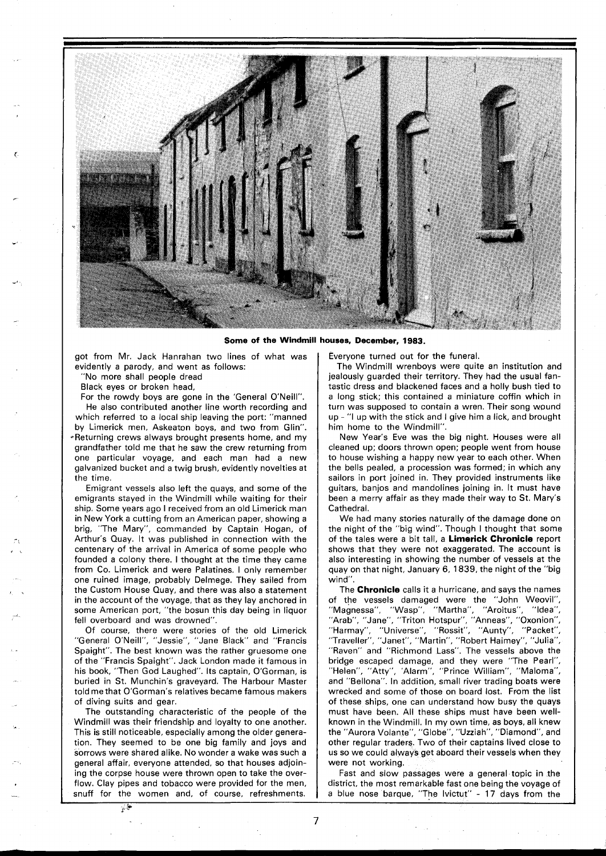

**Some of the Windmill houses, December, 1983.** 

got from Mr. Jack Hanrahan two lines of what was evidently a parody, and went as follows:

"No more shall people dread

Black eyes or broken head,

For the rowdy boys are gone in the 'General O'Neill". He also contributed another line worth recording and which referred to a local ship leaving the port: "manned by Limerick men, Askeaton boys, and two from Glin". \*Returning crews always brought presents home, and my grandfather told me that he saw the crew returning from one particular voyage, and each man had a new galvanized bucket and a twig brush, evidently novelties at the time.

Emigrant vessels also left the quays, and some of the emigrants stayed in the Windmill while waiting for their ship. Some years ago I received from an old Limerick man in New York a cutting from an American paper, showing a brig, "The Mary", commanded by Captain Hogan, of Arthur's Quay. It was published in connection with the centenary of the arrival in America of some people who founded a colony there. I thought at the time they came from Co. Limerick and were Palatines. I only remember one ruined image, probably Delmege. They sailed from the Custom House Quay, and there was also a statement in the account of the voyage, that as they lay anchored in some American port, "the bosun this day being in liquor fell overboard and was drowned".

Of course, there were stories of the old Limerick "General O'Neill", "Jessie", "Jane Black" and "Francis Spaight". The best known was the rather gruesome one of the "Francis Spaight". Jack London made it famous in his book, "Then God Laughed". Its captain, O'Gorman, is buried in St. Munchin's graveyard. The Harbour Master told me that O'Gorman's relatives became famous makers of diving suits and gear.

The outstanding characteristic of the people of the Windmill was their friendship and loyalty to one another. This is still noticeable, especially among the older generation. They seemed to be one big family and joys and sorrows were shared alike. No wonder a wake was such a general affair, everyone attended, so that houses adjoining the corpse house were thrown open to take the overflow. Clay pipes and tobacco were provided for the men, snuff for the women and, of course, refreshments. Everyone turned out for the funeral.

The Windmill wrenboys were quite an institution and jealously guarded their territory. They had the usual fantastic dress and blackened faces and a holly bush tied to a long stick; this contained a miniature coffin which in turn was supposed to contain a wren. Their song wound up - "I up with the stick and I give him a lick, and brought him home to the Windmill".

New Year's Eve was the big night. Houses were all cleaned up; doors thrown open; people went from house to house wishing a happy new year to each other. When the bells pealed, a procession was formed; in which any sailors in port joined in. They provided instruments like guitars, banjos and mandolines joining in. It must have been a merry affair as they made their way to St. Mary's Cathedral.

We had many stories naturally of the damage done on the night of the "big wind". Though I thought that some of the tales were a bit tall, a **Limerick Chronicle** report shows that they were not exaggerated. The account is also interesting in showing the number of vessels at the quay on that night, January 6, 1839, the night of the "big wind".

The **Chronicle** calls it a hurricane, and says the names of the vessels damaged were the ''John Weovil'',<br>''Magnessa'', ''Wasp'', ''Martha'', ''Aroitus'', ''Idea'', "Magnessa", "Wasp", "Martha", "Aroitus", "Arab", "Triton Hotspur", "Arabita", "Alonda",<br>"Arab", "Jane", "Triton Hotspur", "Anneas", "Oxonion",<br>"Harmay", "Universe", "Rossit", "Aunty", "Packet", "Harmay", "Universe", "Rossit", "Aunty", "Packet", "Traveller", "Janet", "Martin", "Robert Haimey", "Julia", "Raven" and "Richmond Lass". The vessels above the bridge escaped damage, and they were "The Pearl", "Helen", "Atty", 'Alarm", "Prince William", "Maloma", and "Bellona". In addition, small river trading boats were wrecked and some of those on board lost. From the list of these ships, one can understand how busy the quays must have been. All these ships must have been wellknown in the Windmill. In my own time, as boys, all knew the "Aurora Volante", "Globe", "Uzziah", "Diamond", and other regular traders. Two of their captains lived close to us so we could always get aboard their vessels when they were not working.

Fast and slow passages were a general topic in the district, the most remarkable fast one being the voyage of a blue nose barque, "The Ivictut" - 17 days from the

&

 $\overline{7}$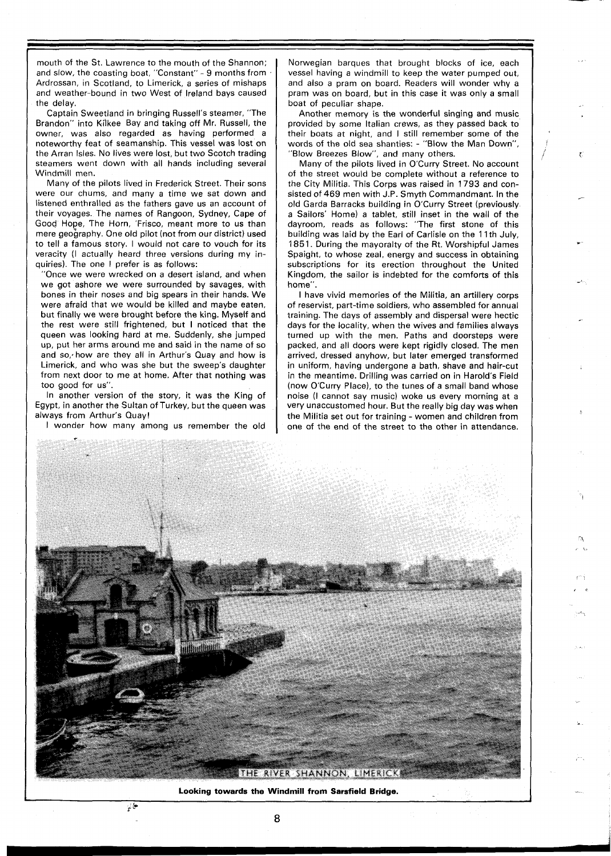mouth of the St. Lawrence to the mouth of the Shannon; and slow, the coasting boat, "Constant" - 9 months from Ardrossan, in Scotland, to Limerick, a series of mishaps and weather-bound in two West of Ireland bays caused the delay.

Captain Sweetland in bringing Russell's steamer, "The Brandon" into Kilkee Bay and taking off Mr. Russell, the owner, was also regarded as having performed a noteworthy feat of seamanship. This vessel was lost on the Arran Isles. No lives were lost, but two Scotch trading steamers went down with all hands including several Windmill men.

Many of the pilots lived in Frederick Street. Their sons were our chums, and many a time we sat down and listened enthralled as the fathers gave us an account of their voyages. The names of Rangoon, Sydney, Cape of Good Hope, The Horn, 'Frisco, meant more to us than mere geography. One old pilot (not from our district) used to tell a famous story. I would not care to vouch for its veracity (I actually heard three versions during my inquiries). The one I prefer is as follows:

"Once we were wrecked on a desert island, and when we got ashore we were surrounded by savages, with bones in their noses and big spears in their hands. We were afraid that we would be killed and maybe eaten, but finally we were brought before the king. Myself and the rest were still frightened, but I noticed that the queen was looking hard at me. Suddenly, she jumped up, put her arms around me and said in the name of so and so, how are they all in Arthur's Quay and how is Limerick, and who was she but the sweep's daughter from next door to me at home. After that nothing was too good for us".

In another version of the story, it was the King of Egypt, in another the Sultan of Turkey, but the queen was always from Arthur's Quay!

I wonder how many among us remember the old

 $\frac{1}{2}$ 

Norwegian barques that brought blocks of ice, each vessel having a windmill to keep the water pumped out, and also a pram on board. Readers will wonder why a pram was on board, but in this case it was only a small boat of peculiar shape.

Another memory is the wonderful singing and music provided by some Italian crews, as they passed back to their boats at night, and I still remember some of the words of the old sea shanties: - "Blow the Man Down", "Blow Breezes Blow", and many others.

Many of the pilots lived in O'Curry Street. No account of the street would be complete without a reference to the City Militia. This Corps was raised in 1793 and consisted of 469 men with J.P. Smyth Commandmant. In the old Garda Barracks building in O'Curry Street (previously a Sailors' Home) a tablet, still inset in the wall of the dayroom, reads as follows: "The first stone of this building was laid by the Earl of Carlisle on the 11th July, 1851. During the mayoralty of the Rt. Worshipful James Spaight, to whose zeal, energy and success in obtaining subscriptions for its erection throughout the United Kingdom, the sailor is indebted for the comforts of this home".

I have vivid memories of the Militia, an artillery corps of reservist, part-time soldiers, who assembled for annual training. The days of assembly and dispersal were hectic days for the locality, when the wives and families always turned up with the men. Paths and doorsteps were packed, and all doors were kept rigidly closed. The men arrived, dressed anyhow, but later emerged transformed in uniform, having undergone a bath, shave and hair-cut in the meantime. Drilling was carried on in Harold's Field (now O'Curry Place), to the tunes of a small band whose noise (I cannot say music) woke us every morning at a very unaccustomed hour. But the really big day was when the Militia set out for training - women and children from one of the end of the street to the other in attendance.



**Looking towards the Windmill from Sarsfield Bridge.** 

**8**